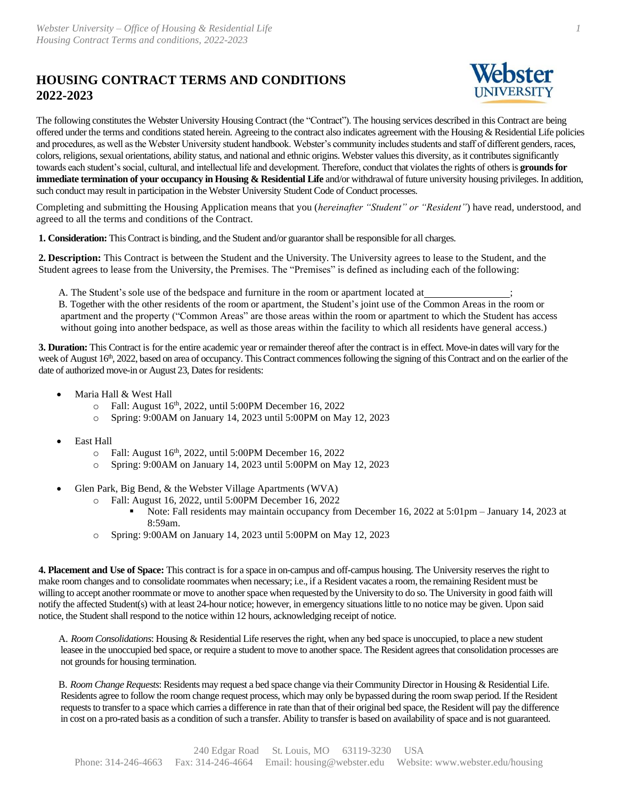## **HOUSING CONTRACT TERMS AND CONDITIONS 2022-2023**



*1*

The following constitutes the Webster University Housing Contract (the "Contract"). The housing services described in this Contract are being offered under the terms and conditions stated herein. Agreeing to the contract also indicates agreement with the Housing & Residential Life policies and procedures, as well as the Webster University student handbook. Webster's community includes students and staff of different genders, races, colors, religions, sexual orientations, ability status, and national and ethnic origins. Webster values this diversity, as it contributes significantly towards each student's social, cultural, and intellectual life and development. Therefore, conduct that violates the rights of others is **grounds for immediate termination of your occupancy in Housing & Residential Life** and/or withdrawal of future university housing privileges. In addition, such conduct may result in participation in the Webster University Student Code of Conduct processes.

Completing and submitting the Housing Application means that you (*hereinafter "Student" or "Resident"*) have read, understood, and agreed to all the terms and conditions of the Contract.

**1. Consideration:** ThisContract is binding, and the Student and/or guarantorshall be responsible for all charges.

**2. Description:** This Contract is between the Student and the University. The University agrees to lease to the Student, and the Student agrees to lease from the University, the Premises. The "Premises" is defined as including each of the following:

A. The Student's sole use of the bedspace and furniture in the room or apartment located at ;

B. Together with the other residents of the room or apartment, the Student's joint use of the Common Areas in the room or apartment and the property ("Common Areas" are those areas within the room or apartment to which the Student has access without going into another bedspace, as well as those areas within the facility to which all residents have general access.)

**3. Duration:** This Contract is for the entire academic year or remainder thereof after the contract is in effect. Move-in dates will vary for the week of August 16<sup>th</sup>, 2022, based on area of occupancy. This Contract commences following the signing of this Contract and on the earlier of the date of authorized move-in or August 23, Dates for residents:

- Maria Hall & West Hall
	- $\circ$  Fall: August 16<sup>th</sup>, 2022, until 5:00PM December 16, 2022
	- o Spring: 9:00AM on January 14, 2023 until 5:00PM on May 12, 2023
- East Hall
	- o Fall: August 16th, 2022, until 5:00PM December 16, 2022
	- o Spring: 9:00AM on January 14, 2023 until 5:00PM on May 12, 2023
- Glen Park, Big Bend, & the Webster Village Apartments (WVA)
	- o Fall: August 16, 2022, until 5:00PM December 16, 2022
		- Note: Fall residents may maintain occupancy from December 16, 2022 at 5:01pm January 14, 2023 at 8:59am.
	- o Spring: 9:00AM on January 14, 2023 until 5:00PM on May 12, 2023

**4. Placement and Use of Space:** This contract is for a space in on-campus and off-campus housing. The University reserves the right to make room changes and to consolidate roommates when necessary; i.e., if a Resident vacates a room, the remaining Resident must be willing to accept another roommate or move to anotherspace when requested by the University to do so. The University in good faith will notify the affected Student(s) with at least 24-hour notice; however, in emergency situations little to no notice may be given. Upon said notice, the Student shall respond to the notice within 12 hours, acknowledging receipt of notice.

A. *Room Consolidations*: Housing & Residential Life reserves the right, when any bed space is unoccupied, to place a new student leasee in the unoccupied bed space, or require a student to move to another space. The Resident agrees that consolidation processes are not grounds for housing termination.

B. *Room Change Requests*: Residents may request a bed space change via their Community Director in Housing & Residential Life. Residents agree to follow the room change request process, which may only be bypassed during the room swap period. If the Resident requests to transfer to a space which carries a difference in rate than that of their original bed space, the Resident will pay the difference in cost on a pro-rated basis as a condition of such a transfer. Ability to transfer is based on availability of space and is not guaranteed.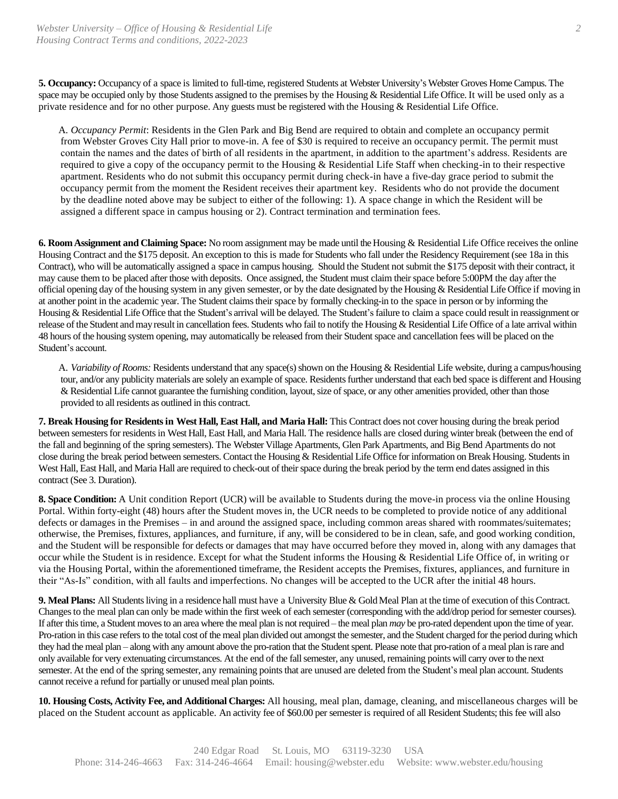**5. Occupancy:** Occupancy of a space is limited to full-time, registered Students at Webster University's Webster Groves Home Campus. The space may be occupied only by those Students assigned to the premises by the Housing & Residential Life Office. It will be used only as a private residence and for no other purpose. Any guests must be registered with the Housing & Residential Life Office.

A. *Occupancy Permit*: Residents in the Glen Park and Big Bend are required to obtain and complete an occupancy permit from Webster Groves City Hall prior to move-in. A fee of \$30 is required to receive an occupancy permit. The permit must contain the names and the dates of birth of all residents in the apartment, in addition to the apartment's address. Residents are required to give a copy of the occupancy permit to the Housing & Residential Life Staff when checking-in to their respective apartment. Residents who do not submit this occupancy permit during check-in have a five-day grace period to submit the occupancy permit from the moment the Resident receives their apartment key. Residents who do not provide the document by the deadline noted above may be subject to either of the following: 1). A space change in which the Resident will be assigned a different space in campus housing or 2). Contract termination and termination fees.

**6. RoomAssignment and Claiming Space:** No room assignment may be made until the Housing & Residential Life Office receives the online Housing Contract and the \$175 deposit. An exception to this is made for Students who fall under the Residency Requirement (see 18a in this Contract), who will be automatically assigned a space in campus housing. Should the Student not submit the \$175 deposit with their contract, it may cause them to be placed after those with deposits. Once assigned, the Student must claim their space before 5:00PM the day after the official opening day of the housing system in any given semester, or by the date designated by the Housing  $\&$  Residential Life Office if moving in at another point in the academic year. The Student claims their space by formally checking-in to the space in person or by informing the Housing & Residential Life Office that the Student's arrival will be delayed. The Student's failure to claim a space could result in reassignment or release ofthe Student andmayresult in cancellation fees. Students who fail to notify the Housing & Residential Life Office of a late arrival within 48 hours of the housing system opening, may automatically be released from their Student space and cancellation fees will be placed on the Student's account.

A. *Variability of Rooms:* Residents understand that any space(s) shown on the Housing & Residential Life website, during a campus/housing tour, and/or any publicity materials are solely an example of space. Residents further understand that each bed space is different and Housing & Residential Life cannot guarantee the furnishing condition, layout, size of space, or any other amenities provided, other than those provided to all residents as outlined in this contract.

**7. Break Housing for Residents in West Hall, East Hall, and Maria Hall:** This Contract does not cover housing during the break period between semesters for residents in West Hall, East Hall, and Maria Hall. The residence halls are closed during winter break (between the end of the fall and beginning of the spring semesters). The Webster Village Apartments, Glen Park Apartments, and Big Bend Apartments do not close during the break period between semesters. Contact the Housing & Residential Life Office for information on Break Housing. Students in West Hall, East Hall, and Maria Hall are required to check-out of their space during the break period by the term end dates assigned in this contract (See 3. Duration).

**8. Space Condition:** A Unit condition Report (UCR) will be available to Students during the move-in process via the online Housing Portal. Within forty-eight (48) hours after the Student moves in, the UCR needs to be completed to provide notice of any additional defects or damages in the Premises – in and around the assigned space, including common areas shared with roommates/suitemates; otherwise, the Premises, fixtures, appliances, and furniture, if any, will be considered to be in clean, safe, and good working condition, and the Student will be responsible for defects or damages that may have occurred before they moved in, along with any damages that occur while the Student is in residence. Except for what the Student informs the Housing & Residential Life Office of, in writing or via the Housing Portal, within the aforementioned timeframe, the Resident accepts the Premises, fixtures, appliances, and furniture in their "As-Is" condition, with all faults and imperfections. No changes will be accepted to the UCR after the initial 48 hours.

**9. Meal Plans:** All Studentsliving in a residence hall must have a University Blue & Gold Meal Plan at the time of execution of this Contract. Changesto the meal plan can only be made within the first week of each semester (corresponding with the add/drop period for semester courses). If after this time, a Student moves to an area where the meal plan is not required – the meal plan *may* be pro-rated dependent upon the time of year. Pro-ration in this case refers to the total cost of the meal plan divided out amongst the semester, and the Student charged for the period during which they had the meal plan – along with any amount above the pro-ration that the Student spent. Please note that pro-ration of a meal plan is rare and only available for very extenuating circumstances. At the end of the fall semester, any unused, remaining points will carry over to the next semester. At the end of the spring semester, any remaining points that are unused are deleted from the Student's meal plan account. Students cannot receive a refund for partially or unused meal plan points.

**10. Housing Costs, Activity Fee, and Additional Charges:** All housing, meal plan, damage, cleaning, and miscellaneous charges will be placed on the Student account as applicable. An activity fee of \$60.00 per semester is required of all Resident Students; this fee will also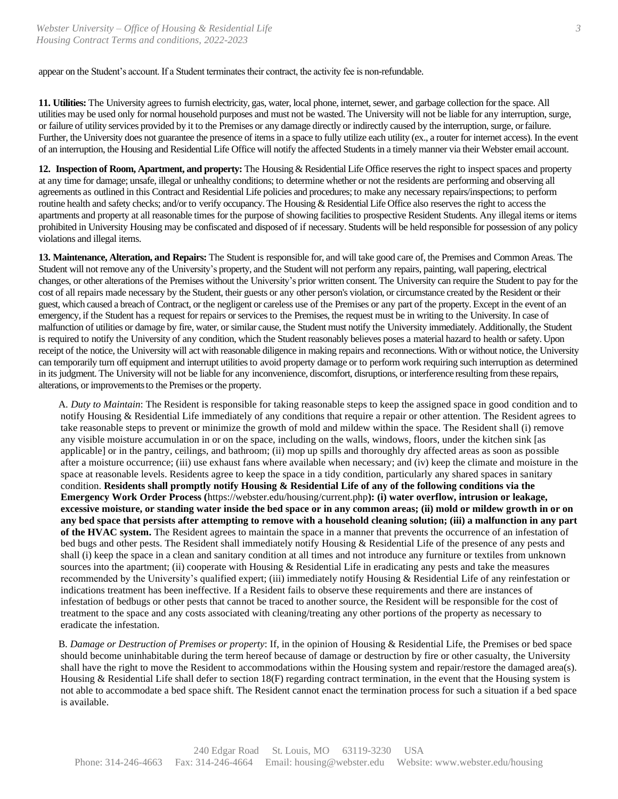appear on the Student's account. If a Student terminates their contract, the activity fee is non-refundable.

**11. Utilities:** The University agrees to furnish electricity, gas, water, local phone, internet, sewer, and garbage collection for the space. All utilities may be used only for normal household purposes and must not be wasted. The University will not be liable for any interruption, surge, or failure of utility services provided by it to the Premises or any damage directly or indirectly caused by the interruption, surge, orfailure. Further, the University does not guarantee the presence of items in a space to fully utilize each utility (ex., a router for internet access). In the event of an interruption, the Housing and Residential Life Office will notify the affected Students in a timely manner via their Webster email account.

**12. Inspection of Room, Apartment, and property:** The Housing & Residential Life Office reserves the right to inspect spaces and property at any time for damage; unsafe, illegal or unhealthy conditions; to determine whether or not the residents are performing and observing all agreements as outlined in this Contract and Residential Life policies and procedures; to make any necessary repairs/inspections; to perform routine health and safety checks; and/or to verify occupancy. The Housing & Residential Life Office also reserves the right to access the apartments and property at all reasonable times for the purpose of showing facilities to prospective Resident Students. Any illegal items or items prohibited in University Housing may be confiscated and disposed of if necessary. Students will be held responsible for possession of any policy violations and illegal items.

**13. Maintenance, Alteration, and Repairs:** The Student is responsible for, and will take good care of, the Premises and Common Areas. The Student will not remove any of the University's property, and the Student will not perform any repairs, painting, wall papering, electrical changes, or other alterations of the Premises without the University's prior written consent. The University can require the Student to pay for the cost of all repairs made necessary by the Student, their guests or any other person's violation, or circumstance created by the Resident or their guest, which caused a breach of Contract, or the negligent or careless use of the Premises or any part of the property. Except in the event of an emergency, if the Student has a request for repairs or services to the Premises, the request must be in writing to the University. In case of malfunction of utilities or damage by fire, water, or similar cause, the Student must notify the University immediately. Additionally, the Student is required to notify the University of any condition, which the Student reasonably believes poses a material hazard to health or safety. Upon receipt of the notice, the University will act with reasonable diligence in making repairs and reconnections. With or without notice, the University can temporarily turn off equipment and interrupt utilities to avoid property damage or to perform work requiring such interruption as determined in its judgment. The University will not be liable for any inconvenience, discomfort, disruptions, orinterference resulting fromthese repairs, alterations, or improvements to the Premises or the property.

A. *Duty to Maintain*: The Resident is responsible for taking reasonable steps to keep the assigned space in good condition and to notify Housing & Residential Life immediately of any conditions that require a repair or other attention. The Resident agrees to take reasonable steps to prevent or minimize the growth of mold and mildew within the space. The Resident shall (i) remove any visible moisture accumulation in or on the space, including on the walls, windows, floors, under the kitchen sink [as applicable] or in the pantry, ceilings, and bathroom; (ii) mop up spills and thoroughly dry affected areas as soon as possible after a moisture occurrence; (iii) use exhaust fans where available when necessary; and (iv) keep the climate and moisture in the space at reasonable levels. Residents agree to keep the space in a tidy condition, particularly any shared spaces in sanitary condition. **Residents shall promptly notify Housing & Residential Life of any of the following conditions via the Emergency Work Order Process (**https://webster.edu/housing/current.php**): (i) water overflow, intrusion or leakage, excessive moisture, or standing water inside the bed space or in any common areas; (ii) mold or mildew growth in or on any bed space that persists after attempting to remove with a household cleaning solution; (iii) a malfunction in any part of the HVAC system.** The Resident agrees to maintain the space in a manner that prevents the occurrence of an infestation of bed bugs and other pests. The Resident shall immediately notify Housing & Residential Life of the presence of any pests and shall (i) keep the space in a clean and sanitary condition at all times and not introduce any furniture or textiles from unknown sources into the apartment; (ii) cooperate with Housing & Residential Life in eradicating any pests and take the measures recommended by the University's qualified expert; (iii) immediately notify Housing & Residential Life of any reinfestation or indications treatment has been ineffective. If a Resident fails to observe these requirements and there are instances of infestation of bedbugs or other pests that cannot be traced to another source, the Resident will be responsible for the cost of treatment to the space and any costs associated with cleaning/treating any other portions of the property as necessary to eradicate the infestation.

B. *Damage or Destruction of Premises or property*: If, in the opinion of Housing & Residential Life, the Premises or bed space should become uninhabitable during the term hereof because of damage or destruction by fire or other casualty, the University shall have the right to move the Resident to accommodations within the Housing system and repair/restore the damaged area(s). Housing  $\&$  Residential Life shall defer to section 18(F) regarding contract termination, in the event that the Housing system is not able to accommodate a bed space shift. The Resident cannot enact the termination process for such a situation if a bed space is available.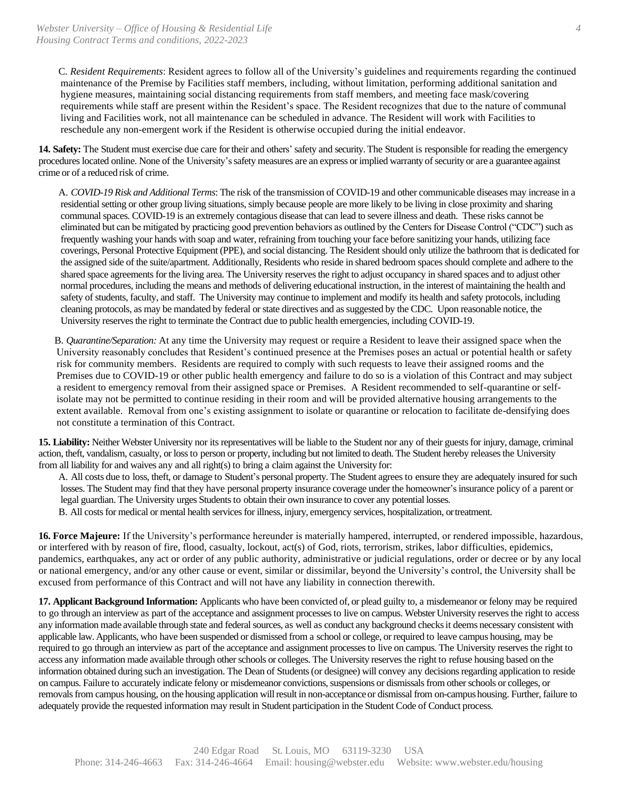C. *Resident Requirements*: Resident agrees to follow all of the University's guidelines and requirements regarding the continued maintenance of the Premise by Facilities staff members, including, without limitation, performing additional sanitation and hygiene measures, maintaining social distancing requirements from staff members, and meeting face mask/covering requirements while staff are present within the Resident's space. The Resident recognizes that due to the nature of communal living and Facilities work, not all maintenance can be scheduled in advance. The Resident will work with Facilities to reschedule any non-emergent work if the Resident is otherwise occupied during the initial endeavor.

**14. Safety:** The Student must exercise due care for their and others' safety and security. The Student is responsible for reading the emergency procedures located online. None of the University's safety measures are an express orimplied warranty ofsecurity or are a guarantee against crime or of a reduced risk of crime.

A. *COVID-19 Risk and Additional Terms*: The risk of the transmission of COVID-19 and other communicable diseases may increase in a residential setting or other group living situations, simply because people are more likely to be living in close proximity and sharing communal spaces. COVID-19 is an extremely contagious disease that can lead to severe illness and death. These risks cannot be eliminated but can be mitigated by practicing good prevention behaviors as outlined by the Centers for Disease Control ("CDC") such as frequently washing your hands with soap and water, refraining from touching your face before sanitizing your hands, utilizing face coverings, Personal Protective Equipment (PPE), and social distancing. The Resident should only utilize the bathroom that is dedicated for the assigned side of the suite/apartment. Additionally, Residents who reside in shared bedroom spaces should complete and adhere to the shared space agreements for the living area. The University reserves the right to adjust occupancy in shared spaces and to adjust other normal procedures, including the means and methods of delivering educational instruction, in the interest of maintaining the health and safety of students, faculty, and staff. The University may continue to implement and modify its health and safety protocols, including cleaning protocols, as may be mandated by federal or state directives and as suggested by the CDC. Upon reasonable notice, the University reserves the right to terminate the Contract due to public health emergencies, including COVID-19.

B. *Quarantine/Separation:* At any time the University may request or require a Resident to leave their assigned space when the University reasonably concludes that Resident's continued presence at the Premises poses an actual or potential health or safety risk for community members. Residents are required to comply with such requests to leave their assigned rooms and the Premises due to COVID-19 or other public health emergency and failure to do so is a violation of this Contract and may subject a resident to emergency removal from their assigned space or Premises. A Resident recommended to self-quarantine or selfisolate may not be permitted to continue residing in their room and will be provided alternative housing arrangements to the extent available. Removal from one's existing assignment to isolate or quarantine or relocation to facilitate de-densifying does not constitute a termination of this Contract.

**15. Liability:** Neither Webster University nor its representatives will be liable to the Student nor any of their guests for injury, damage, criminal action, theft, vandalism, casualty, or loss to person or property, including but not limited to death. The Student hereby releases the University from all liability for and waives any and all right(s) to bring a claim against the University for:

A. All costs due to loss, theft, or damage to Student's personal property. The Student agrees to ensure they are adequately insured for such losses. The Student may find that they have personal property insurance coverage under the homeowner's insurance policy of a parent or legal guardian. The University urges Students to obtain their own insurance to cover any potential losses.

B. All costs for medical or mental health services for illness, injury, emergency services, hospitalization, ortreatment.

**16. Force Majeure:** If the University's performance hereunder is materially hampered, interrupted, or rendered impossible, hazardous, or interfered with by reason of fire, flood, casualty, lockout, act(s) of God, riots, terrorism, strikes, labor difficulties, epidemics, pandemics, earthquakes, any act or order of any public authority, administrative or judicial regulations, order or decree or by any local or national emergency, and/or any other cause or event, similar or dissimilar, beyond the University's control, the University shall be excused from performance of this Contract and will not have any liability in connection therewith.

**17. Applicant Background Information:** Applicants who have been convicted of, or plead guilty to, a misdemeanor or felony may be required to go through an interview as part of the acceptance and assignment processes to live on campus. Webster University reserves the right to access any information made available through state and federal sources, as well as conduct any background checks it deems necessary consistent with applicable law. Applicants, who have been suspended or dismissed from a school or college, or required to leave campus housing, may be required to go through an interview as part of the acceptance and assignment processes to live on campus. The University reserves the right to access any information made available through other schools or colleges. The University reserves the right to refuse housing based on the information obtained during such an investigation. The Dean of Students (or designee) will convey any decisions regarding application to reside on campus. Failure to accurately indicate felony or misdemeanor convictions, suspensions or dismissals from other schools or colleges, or removals from campus housing, on the housing application will result in non-acceptance or dismissal from on-campus housing. Further, failure to adequately provide the requested information may result in Student participation in the Student Code of Conduct process.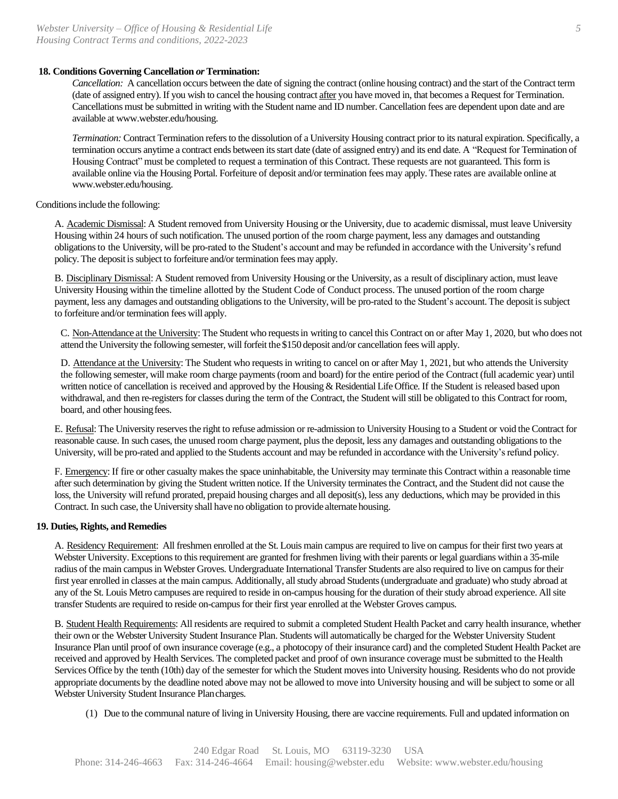## **18. Conditions Governing Cancellation** *or* **Termination:**

*Cancellation:* A cancellation occurs between the date of signing the contract (online housing contract) and the start of the Contract term (date of assigned entry). If you wish to cancel the housing contract after you have moved in, that becomes a Request for Termination. Cancellations must be submitted in writing with the Student name and ID number. Cancellation fees are dependent upon date and are available at www.webster.edu/housing.

*Termination:* Contract Termination refers to the dissolution of a University Housing contract prior to its natural expiration. Specifically, a termination occurs anytime a contract ends between its start date (date of assigned entry) and its end date. A "Request for Termination of Housing Contract" must be completed to request a termination of this Contract. These requests are not guaranteed. This form is available online via the Housing Portal. Forfeiture of deposit and/or termination fees may apply. These rates are available online at www.webster.edu/housing.

Conditions include the following:

A. Academic Dismissal: A Student removed from University Housing or the University, due to academic dismissal, must leave University Housing within 24 hours of such notification. The unused portion of the room charge payment, less any damages and outstanding obligations to the University, will be pro-rated to the Student's account and may be refunded in accordance with the University's refund policy. The deposit is subject to forfeiture and/or termination fees may apply.

B. Disciplinary Dismissal: A Student removed from University Housing or the University, as a result of disciplinary action, must leave University Housing within the timeline allotted by the Student Code of Conduct process. The unused portion of the room charge payment, less any damages and outstanding obligations to the University, will be pro-rated to the Student's account. The deposit issubject to forfeiture and/or termination fees will apply.

C. Non-Attendance at the University: The Student who requestsin writing to cancel this Contract on or after May 1, 2020, but who does not attend the University the following semester, will forfeit the \$150 deposit and/or cancellation fees will apply.

D. Attendance at the University: The Student who requests in writing to cancel on or after May 1, 2021, but who attends the University the following semester, will make room charge payments (room and board) for the entire period of the Contract (full academic year) until written notice of cancellation is received and approved by the Housing & Residential Life Office. If the Student is released based upon withdrawal, and then re-registers for classes during the term of the Contract, the Student will still be obligated to this Contract for room, board, and other housing fees.

E. Refusal: The University reservesthe right to refuse admission or re-admission to University Housing to a Student or void the Contract for reasonable cause. In such cases, the unused room charge payment, plus the deposit, less any damages and outstanding obligations to the University, will be pro-rated and applied to the Students account and may be refunded in accordance with the University's refund policy.

F. Emergency: If fire or other casualty makes the space uninhabitable, the University may terminate this Contract within a reasonable time after such determination by giving the Student written notice. If the University terminates the Contract, and the Student did not cause the loss, the University will refund prorated, prepaid housing charges and all deposit(s), less any deductions, which may be provided in this Contract. In such case, the University shall have no obligation to provide alternate housing.

## 19. Duties, Rights, and Remedies

A. Residency Requirement: All freshmen enrolled at the St. Louis main campus are required to live on campus for their first two years at Webster University. Exceptions to this requirement are granted for freshmen living with their parents or legal guardians within a 35-mile radius of the main campus in Webster Groves. Undergraduate International Transfer Students are also required to live on campus for their first year enrolled in classes at the main campus. Additionally, all study abroad Students (undergraduate and graduate) who study abroad at any of the St. Louis Metro campuses are required to reside in on-campus housing for the duration of their study abroad experience. All site transfer Students are required to reside on-campus for their first year enrolled at the Webster Groves campus.

B. Student Health Requirements: All residents are required to submit a completed Student Health Packet and carry health insurance, whether their own or the Webster University Student Insurance Plan. Students will automatically be charged for the Webster University Student Insurance Plan until proof of own insurance coverage (e.g., a photocopy of their insurance card) and the completed Student Health Packet are received and approved by Health Services. The completed packet and proof of own insurance coverage must be submitted to the Health Services Office by the tenth (10th) day of the semester for which the Student moves into University housing. Residents who do not provide appropriate documents by the deadline noted above may not be allowed to move into University housing and will be subject to some or all Webster University Student Insurance Plancharges.

(1) Due to the communal nature of living in University Housing, there are vaccine requirements. Full and updated information on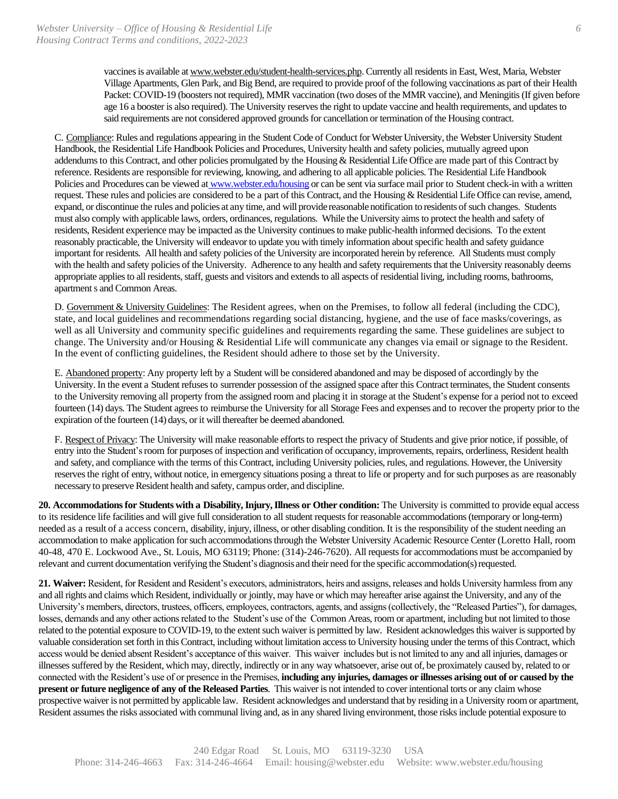vaccines is available a[t www.webster.edu/student-health-services.php.](http://www.webster.edu/student-health-services.php) Currently all residents in East, West, Maria, Webster Village Apartments, Glen Park, and Big Bend, are required to provide proof of the following vaccinations as part of their Health Packet: COVID-19 (boosters not required), MMR vaccination (two doses of the MMR vaccine), and Meningitis (If given before age 16 a booster is also required). The University reserves the right to update vaccine and health requirements, and updates to said requirements are not considered approved grounds for cancellation or termination of the Housing contract.

C. Compliance: Rules and regulations appearing in the Student Code of Conduct for Webster University, the Webster University Student Handbook, the Residential Life Handbook Policies and Procedures, University health and safety policies, mutually agreed upon addendums to this Contract, and other policies promulgated by the Housing & Residential Life Office are made part of this Contract by reference. Residents are responsible for reviewing, knowing, and adhering to all applicable policies. The Residential Life Handbook Policies and Procedures can be viewed at www.webster.edu/housing or can be sent via surface mail prior to Student check-in with a written request. These rules and policies are considered to be a part of this Contract, and the Housing & Residential Life Office can revise, amend, expand, or discontinue the rules and policies at any time, and will provide reasonable notification to residents of such changes. Students must also comply with applicable laws, orders, ordinances, regulations. While the University aims to protect the health and safety of residents, Resident experience may be impacted as the University continues to make public-health informed decisions. To the extent reasonably practicable, the University will endeavor to update you with timely information about specific health and safety guidance important for residents. All health and safety policies of the University are incorporated herein by reference. All Students must comply with the health and safety policies of the University. Adherence to any health and safety requirements that the University reasonably deems appropriate applies to all residents, staff, guests and visitors and extends to all aspects of residential living, including rooms, bathrooms, apartment s and Common Areas.

D. Government & University Guidelines: The Resident agrees, when on the Premises, to follow all federal (including the CDC), state, and local guidelines and recommendations regarding social distancing, hygiene, and the use of face masks/coverings, as well as all University and community specific guidelines and requirements regarding the same. These guidelines are subject to change. The University and/or Housing & Residential Life will communicate any changes via email or signage to the Resident. In the event of conflicting guidelines, the Resident should adhere to those set by the University.

E. Abandoned property: Any property left by a Student will be considered abandoned and may be disposed of accordingly by the University. In the event a Student refuses to surrender possession of the assigned space after this Contract terminates, the Student consents to the University removing all property from the assigned room and placing it in storage at the Student's expense for a period not to exceed fourteen (14) days. The Student agrees to reimburse the University for all Storage Fees and expenses and to recover the property prior to the expiration of the fourteen (14) days, or it will thereafter be deemed abandoned.

F. Respect of Privacy: The University will make reasonable efforts to respect the privacy of Students and give prior notice, if possible, of entry into the Student's room for purposes of inspection and verification of occupancy, improvements, repairs, orderliness, Resident health and safety, and compliance with the terms of this Contract, including University policies, rules, and regulations. However, the University reserves the right of entry, without notice, in emergency situations posing a threat to life or property and for such purposes as are reasonably necessary to preserve Resident health and safety, campus order, and discipline.

**20. Accommodations for Students with a Disability, Injury, Illness or Other condition:** The University is committed to provide equal access to its residence life facilities and will give full consideration to all student requests for reasonable accommodations (temporary or long-term) needed as a result of a access concern, disability, injury, illness, or other disabling condition. It is the responsibility of the student needing an accommodation to make application for such accommodations through the Webster University Academic Resource Center (Loretto Hall, room 40-48, 470 E. Lockwood Ave., St. Louis, MO 63119; Phone: (314)-246-7620). All requests for accommodations must be accompanied by relevant and current documentation verifying the Student's diagnosis and their need for the specific accommodation(s) requested.

**21. Waiver:** Resident, for Resident and Resident's executors, administrators, heirs and assigns, releases and holds University harmless from any and all rights and claims which Resident, individually or jointly, may have or which may hereafter arise against the University, and any of the University's members, directors, trustees, officers, employees, contractors, agents, and assigns (collectively, the "Released Parties"), for damages, losses, demands and any other actions related to the Student's use of the Common Areas, room or apartment, including but not limited to those related to the potential exposure to COVID-19, to the extent such waiver is permitted by law. Resident acknowledges this waiver is supported by valuable consideration set forth in this Contract, including without limitation access to University housing under the terms of this Contract, which access would be denied absent Resident's acceptance of this waiver. This waiver includes but is not limited to any and all injuries, damages or illnesses suffered by the Resident, which may, directly, indirectly or in any way whatsoever, arise out of, be proximately caused by, related to or connected with the Resident's use of or presence in the Premises, **including any injuries, damages or illnesses arising out of or caused by the present or future negligence of any of the Released Parties**. This waiver is not intended to cover intentional torts or any claim whose prospective waiver is not permitted by applicable law. Resident acknowledges and understand that by residing in a University room or apartment, Resident assumes the risks associated with communal living and, as in any shared living environment, those risks include potential exposure to